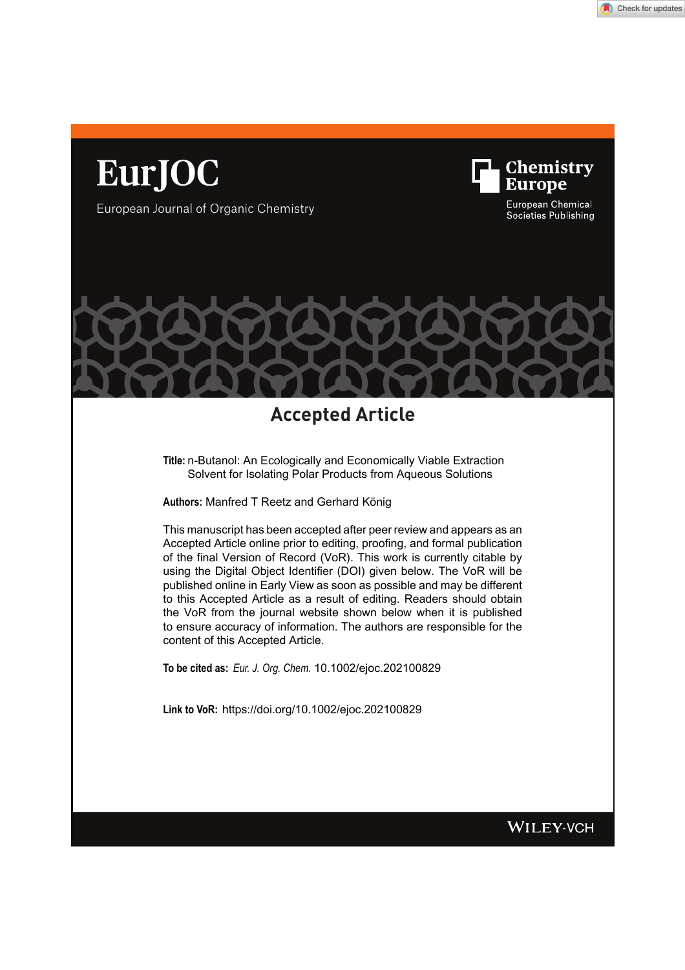

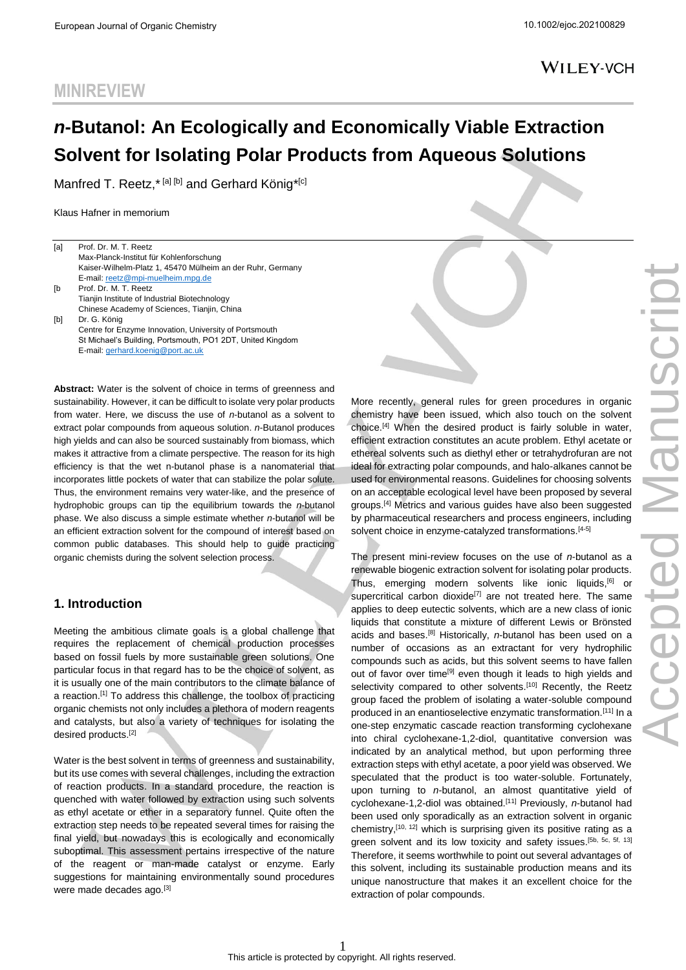# *n***-Butanol: An Ecologically and Economically Viable Extraction Solvent for Isolating Polar Products from Aqueous Solutions**

Manfred T. Reetz,\*<sup>[a] [b]</sup> and Gerhard König\*<sup>[c]</sup>

Klaus Hafner in memorium

**MINIREVIEW**

| [a] | Prof. Dr. M. T. Reetz                                      |
|-----|------------------------------------------------------------|
|     | Max-Planck-Institut für Kohlenforschung                    |
|     | Kaiser-Wilhelm-Platz 1, 45470 Mülheim an der Ruhr, Germany |
|     | E-mail: reetz@mpi-muelheim.mpg.de                          |
| ſb  | Prof. Dr. M. T. Reetz                                      |
|     | Tianjin Institute of Industrial Biotechnology              |
|     | Chinese Academy of Sciences, Tianjin, China                |
| [b] | Dr. G. König                                               |
|     | Centre for Enzyme Innovation, University of Portsmouth     |
|     | St Michael's Building, Portsmouth, PO1 2DT, United Kingdom |
|     | E-mail: gerhard.koenig@port.ac.uk                          |

**Abstract:** Water is the solvent of choice in terms of greenness and sustainability. However, it can be difficult to isolate very polar products from water. Here, we discuss the use of *n*-butanol as a solvent to extract polar compounds from aqueous solution. *n*-Butanol produces high yields and can also be sourced sustainably from biomass, which makes it attractive from a climate perspective. The reason for its high efficiency is that the wet n-butanol phase is a nanomaterial that incorporates little pockets of water that can stabilize the polar solute. Thus, the environment remains very water-like, and the presence of hydrophobic groups can tip the equilibrium towards the *n*-butanol phase. We also discuss a simple estimate whether *n*-butanol will be an efficient extraction solvent for the compound of interest based on common public databases. This should help to guide practicing organic chemists during the solvent selection process.

#### **1. Introduction**

Meeting the ambitious climate goals is a global challenge that requires the replacement of chemical production processes based on fossil fuels by more sustainable green solutions. One particular focus in that regard has to be the choice of solvent, as it is usually one of the main contributors to the climate balance of a reaction.<sup>[\[1\]](#page-5-0)</sup> To address this challenge, the toolbox of practicing organic chemists not only includes a plethora of modern reagents and catalysts, but also a variety of techniques for isolating the desired products.[\[2\]](#page-5-1)

Water is the best solvent in terms of greenness and sustainability, but its use comes with several challenges, including the extraction of reaction products. In a standard procedure, the reaction is quenched with water followed by extraction using such solvents as ethyl acetate or ether in a separatory funnel. Quite often the extraction step needs to be repeated several times for raising the final yield, but nowadays this is ecologically and economically suboptimal. This assessment pertains irrespective of the nature of the reagent or man-made catalyst or enzyme. Early suggestions for maintaining environmentally sound procedures were made decades ago.[\[3\]](#page-5-2)

More recently, general rules for green procedures in organic chemistry have been issued, which also touch on the solvent choice.[\[4\]](#page-5-3) When the desired product is fairly soluble in water, efficient extraction constitutes an acute problem. Ethyl acetate or ethereal solvents such as diethyl ether or tetrahydrofuran are not ideal for extracting polar compounds, and halo-alkanes cannot be used for environmental reasons. Guidelines for choosing solvents on an acceptable ecological level have been proposed by several groups.[\[4\]](#page-5-3) Metrics and various guides have also been suggested by pharmaceutical researchers and process engineers, including solvent choice in enzyme-catalyzed transformations.<sup>[\[4-5\]](#page-5-3)</sup>

The present mini-review focuses on the use of *n*-butanol as a renewable biogenic extraction solvent for isolating polar products. Thus, emerging modern solvents like ionic liquids,[\[6\]](#page-5-4) or supercritical carbon dioxide<sup>[\[7\]](#page-6-0)</sup> are not treated here. The same applies to deep eutectic solvents, which are a new class of ionic liquids that constitute a mixture of different Lewis or Brönsted acids and bases.[\[8\]](#page-6-1) Historically, *n*-butanol has been used on a number of occasions as an extractant for very hydrophilic compounds such as acids, but this solvent seems to have fallen out of favor over time<sup>[\[9\]](#page-6-2)</sup> even though it leads to high yields and selectivity compared to other solvents.<sup>[\[10\]](#page-6-3)</sup> Recently, the Reetz group faced the problem of isolating a water-soluble compound produced in an enantioselective enzymatic transformation.[\[11\]](#page-6-4) In a one-step enzymatic cascade reaction transforming cyclohexane into chiral cyclohexane-1,2-diol, quantitative conversion was indicated by an analytical method, but upon performing three extraction steps with ethyl acetate, a poor yield was observed. We speculated that the product is too water-soluble. Fortunately, upon turning to *n*-butanol, an almost quantitative yield of cyclohexane-1,2-diol was obtained.[\[11\]](#page-6-4) Previously, *n*-butanol had been used only sporadically as an extraction solvent in organic chemistry, [\[10,](#page-6-3) [12\]](#page-6-5) which is surprising given its positive rating as a green solvent and its low toxicity and safety issues.<sup>[\[5b,](#page-5-5) [5c,](#page-5-6) [5f,](#page-5-7) [13\]](#page-6-6)</sup> Therefore, it seems worthwhile to point out several advantages of this solvent, including its sustainable production means and its unique nanostructure that makes it an excellent choice for the extraction of polar compounds.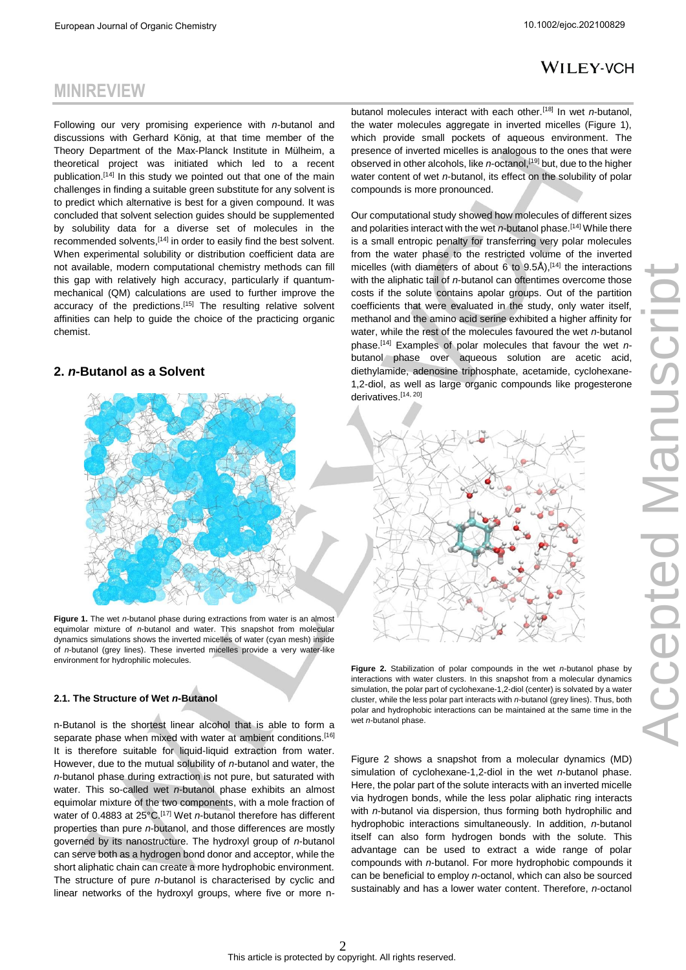# **MINIREVIEW**

Following our very promising experience with *n*-butanol and discussions with Gerhard König, at that time member of the Theory Department of the Max-Planck Institute in Mülheim, a theoretical project was initiated which led to a recent publication.<sup>[\[14\]](#page-6-7)</sup> In this study we pointed out that one of the main challenges in finding a suitable green substitute for any solvent is to predict which alternative is best for a given compound. It was concluded that solvent selection guides should be supplemented by solubility data for a diverse set of molecules in the recommended solvents, [\[14\]](#page-6-7) in order to easily find the best solvent. When experimental solubility or distribution coefficient data are not available, modern computational chemistry methods can fill this gap with relatively high accuracy, particularly if quantummechanical (QM) calculations are used to further improve the accuracy of the predictions.<sup>[\[15\]](#page-6-8)</sup> The resulting relative solvent affinities can help to guide the choice of the practicing organic chemist.

#### **2.** *n***-Butanol as a Solvent**



**Figure 1.** The wet *n*-butanol phase during extractions from water is an almost equimolar mixture of *n*-butanol and water. This snapshot from molecular dynamics simulations shows the inverted micelles of water (cyan mesh) inside of *n*-butanol (grey lines). These inverted micelles provide a very water-like environment for hydrophilic molecules.

#### **2.1. The Structure of Wet** *n***-Butanol**

n-Butanol is the shortest linear alcohol that is able to form a separate phase when mixed with water at ambient conditions.<sup>[\[16\]](#page-6-9)</sup> It is therefore suitable for liquid-liquid extraction from water. However, due to the mutual solubility of *n*-butanol and water, the *n*-butanol phase during extraction is not pure, but saturated with water. This so-called wet *n*-butanol phase exhibits an almost equimolar mixture of the two components, with a mole fraction of water of 0.4883 at 25°C. [\[17\]](#page-6-10) Wet *n*-butanol therefore has different properties than pure *n*-butanol, and those differences are mostly governed by its nanostructure. The hydroxyl group of *n*-butanol can serve both as a hydrogen bond donor and acceptor, while the short aliphatic chain can create a more hydrophobic environment. The structure of pure *n*-butanol is characterised by cyclic and linear networks of the hydroxyl groups, where five or more n-

butanol molecules interact with each other.[\[18\]](#page-6-11) In wet *n*-butanol, the water molecules aggregate in inverted micelles (Figure 1), which provide small pockets of aqueous environment. The presence of inverted micelles is analogous to the ones that were observed in other alcohols, like *n*-octanol, [\[19\]](#page-6-12) but, due to the higher water content of wet *n*-butanol, its effect on the solubility of polar compounds is more pronounced.

Our computational study showed how molecules of different sizes and polarities interact with the wet *n*-butanol phase.<sup>[\[14\]](#page-6-7)</sup> While there is a small entropic penalty for transferring very polar molecules from the water phase to the restricted volume of the inverted micelles (with diameters of about 6 to  $9.5\text{\AA}$ ), [\[14\]](#page-6-7) the interactions with the aliphatic tail of *n*-butanol can oftentimes overcome those costs if the solute contains apolar groups. Out of the partition coefficients that were evaluated in the study, only water itself, methanol and the amino acid serine exhibited a higher affinity for water, while the rest of the molecules favoured the wet *n*-butanol phase.[\[14\]](#page-6-7) Examples of polar molecules that favour the wet *n*butanol phase over aqueous solution are acetic acid, diethylamide, adenosine triphosphate, acetamide, cyclohexane-1,2-diol, as well as large organic compounds like progesterone derivatives. [\[14,](#page-6-7) [20\]](#page-6-13)



**Figure 2.** Stabilization of polar compounds in the wet *n*-butanol phase by interactions with water clusters. In this snapshot from a molecular dynamics simulation, the polar part of cyclohexane-1,2-diol (center) is solvated by a water cluster, while the less polar part interacts with *n*-butanol (grey lines). Thus, both polar and hydrophobic interactions can be maintained at the same time in the wet *n*-butanol phase.

Figure 2 shows a snapshot from a molecular dynamics (MD) simulation of cyclohexane-1,2-diol in the wet *n*-butanol phase. Here, the polar part of the solute interacts with an inverted micelle via hydrogen bonds, while the less polar aliphatic ring interacts with *n*-butanol via dispersion, thus forming both hydrophilic and hydrophobic interactions simultaneously. In addition, *n*-butanol itself can also form hydrogen bonds with the solute. This advantage can be used to extract a wide range of polar compounds with *n*-butanol. For more hydrophobic compounds it can be beneficial to employ *n*-octanol, which can also be sourced sustainably and has a lower water content. Therefore, *n*-octanol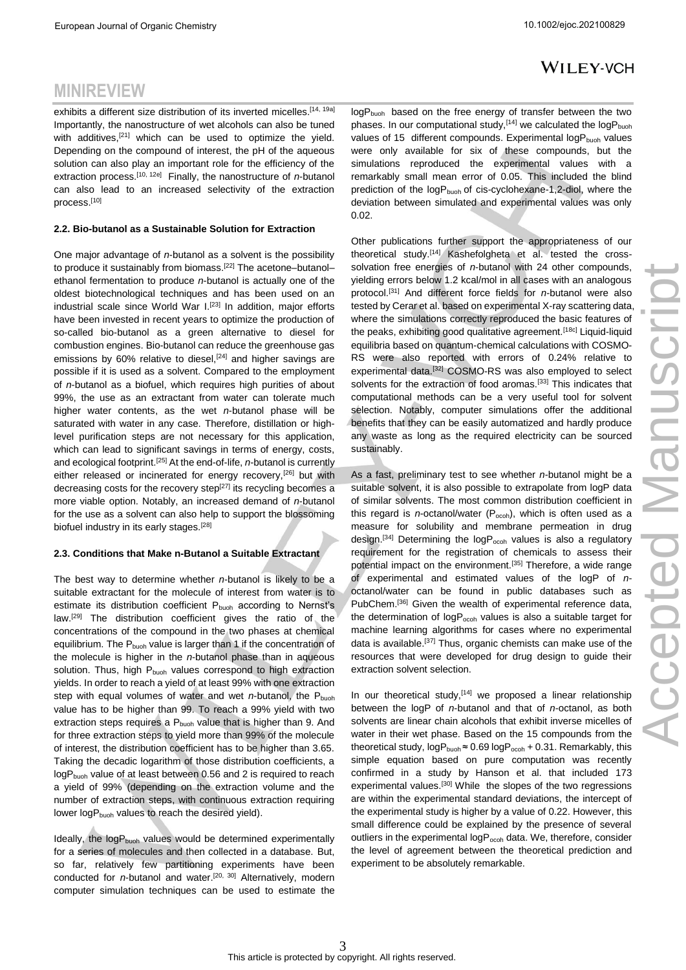**MINIREVIEW**

## **WILEY-VCH**

#### exhibits a different size distribution of its inverted micelles.<sup>[\[14,](#page-6-7) [19a\]](#page-6-12)</sup> Importantly, the nanostructure of wet alcohols can also be tuned with additives,<sup>[\[21\]](#page-6-14)</sup> which can be used to optimize the yield. Depending on the compound of interest, the pH of the aqueous solution can also play an important role for the efficiency of the extraction process.<sup>[\[10,](#page-6-3) [12e\]](#page-6-15)</sup> Finally, the nanostructure of *n*-butanol can also lead to an increased selectivity of the extraction process.[\[10\]](#page-6-3)

#### **2.2. Bio-butanol as a Sustainable Solution for Extraction**

One major advantage of *n*-butanol as a solvent is the possibility to produce it sustainably from biomass.<sup>[\[22\]](#page-6-16)</sup> The acetone–butanol– ethanol fermentation to produce *n*-butanol is actually one of the oldest biotechnological techniques and has been used on an industrial scale since World War I.<sup>[\[23\]](#page-6-17)</sup> In addition, major efforts have been invested in recent years to optimize the production of so-called bio-butanol as a green alternative to diesel for combustion engines. Bio-butanol can reduce the greenhouse gas emissions by  $60\%$  relative to diesel,  $[24]$  and higher savings are possible if it is used as a solvent. Compared to the employment of *n*-butanol as a biofuel, which requires high purities of about 99%, the use as an extractant from water can tolerate much higher water contents, as the wet *n*-butanol phase will be saturated with water in any case. Therefore, distillation or highlevel purification steps are not necessary for this application, which can lead to significant savings in terms of energy, costs, and ecological footprint.[\[25\]](#page-6-19) At the end-of-life, *n*-butanol is currently either released or incinerated for energy recovery,[\[26\]](#page-6-20) but with decreasing costs for the recovery step<sup>[\[27\]](#page-6-21)</sup> its recycling becomes a more viable option. Notably, an increased demand of *n*-butanol for the use as a solvent can also help to support the blossoming biofuel industry in its early stages.<sup>[\[28\]](#page-6-22)</sup>

#### **2.3. Conditions that Make n-Butanol a Suitable Extractant**

The best way to determine whether *n*-butanol is likely to be a suitable extractant for the molecule of interest from water is to estimate its distribution coefficient P<sub>buoh</sub> according to Nernst's law.<sup>[\[29\]](#page-7-0)</sup> The distribution coefficient gives the ratio of the concentrations of the compound in the two phases at chemical equilibrium. The  $P_{buch}$  value is larger than 1 if the concentration of the molecule is higher in the *n*-butanol phase than in aqueous solution. Thus, high P<sub>buoh</sub> values correspond to high extraction yields. In order to reach a yield of at least 99% with one extraction step with equal volumes of water and wet *n*-butanol, the P<sub>buoh</sub> value has to be higher than 99. To reach a 99% yield with two extraction steps requires a P<sub>buoh</sub> value that is higher than 9. And for three extraction steps to yield more than 99% of the molecule of interest, the distribution coefficient has to be higher than 3.65. Taking the decadic logarithm of those distribution coefficients, a logP<sub>buoh</sub> value of at least between 0.56 and 2 is required to reach a yield of 99% (depending on the extraction volume and the number of extraction steps, with continuous extraction requiring lower logP<sub>buoh</sub> values to reach the desired yield).

Ideally, the  $logP_{buch}$  values would be determined experimentally for a series of molecules and then collected in a database. But, so far, relatively few partitioning experiments have been conducted for *n*-butanol and water.<sup>[\[20,](#page-6-13) [30\]](#page-7-1)</sup> Alternatively, modern computer simulation techniques can be used to estimate the logP<sub>buoh</sub> based on the free energy of transfer between the two phases. In our computational study,  $[14]$  we calculated the log  $P_{\text{buch}}$ values of 15 different compounds. Experimental logP<sub>buoh</sub> values were only available for six of these compounds, but the simulations reproduced the experimental values with a remarkably small mean error of 0.05. This included the blind prediction of the logP<sub>buoh</sub> of cis-cyclohexane-1,2-diol, where the deviation between simulated and experimental values was only 0.02.

Other publications further support the appropriateness of our theoretical study.[\[14\]](#page-6-7) Kashefolgheta et al. tested the crosssolvation free energies of *n*-butanol with 24 other compounds, yielding errors below 1.2 kcal/mol in all cases with an analogous protocol.[\[31\]](#page-7-2) And different force fields for *n*-butanol were also tested by Cerar et al. based on experimental X-ray scattering data, where the simulations correctly reproduced the basic features of the peaks, exhibiting good qualitative agreement.<sup>[\[18c\]](#page-6-23)</sup> Liquid-liquid equilibria based on quantum-chemical calculations with COSMO-RS were also reported with errors of 0.24% relative to experimental data.[\[32\]](#page-7-3) COSMO-RS was also employed to select solvents for the extraction of food aromas.<sup>[\[33\]](#page-7-4)</sup> This indicates that computational methods can be a very useful tool for solvent selection. Notably, computer simulations offer the additional benefits that they can be easily automatized and hardly produce any waste as long as the required electricity can be sourced sustainably.

As a fast, preliminary test to see whether *n*-butanol might be a suitable solvent, it is also possible to extrapolate from logP data of similar solvents. The most common distribution coefficient in this regard is *n*-octanol/water  $(P<sub>ocoh</sub>)$ , which is often used as a measure for solubility and membrane permeation in drug design.<sup>[\[34\]](#page-7-5)</sup> Determining the  $logP<sub>ocoh</sub>$  values is also a regulatory requirement for the registration of chemicals to assess their potential impact on the environment.<sup>[\[35\]](#page-7-6)</sup> Therefore, a wide range of experimental and estimated values of the logP of *n*octanol/water can be found in public databases such as PubChem.<sup>[\[36\]](#page-7-7)</sup> Given the wealth of experimental reference data, the determination of  $logP<sub>ocoh</sub>$  values is also a suitable target for machine learning algorithms for cases where no experimental data is available.<sup>[\[37\]](#page-7-8)</sup> Thus, organic chemists can make use of the resources that were developed for drug design to guide their extraction solvent selection.

In our theoretical study,  $[14]$  we proposed a linear relationship between the logP of *n*-butanol and that of *n*-octanol, as both solvents are linear chain alcohols that exhibit inverse micelles of water in their wet phase. Based on the 15 compounds from the theoretical study,  $logP_{buch} \approx 0.69 logP_{ocoh} + 0.31$ . Remarkably, this simple equation based on pure computation was recently confirmed in a study by Hanson et al. that included 173 experimental values.<sup>[\[30\]](#page-7-1)</sup> While the slopes of the two regressions are within the experimental standard deviations, the intercept of the experimental study is higher by a value of 0.22. However, this small difference could be explained by the presence of several outliers in the experimental logP<sub>ocoh</sub> data. We, therefore, consider the level of agreement between the theoretical prediction and experiment to be absolutely remarkable.

#### 3 This article is protected by copyright. All rights reserved.

J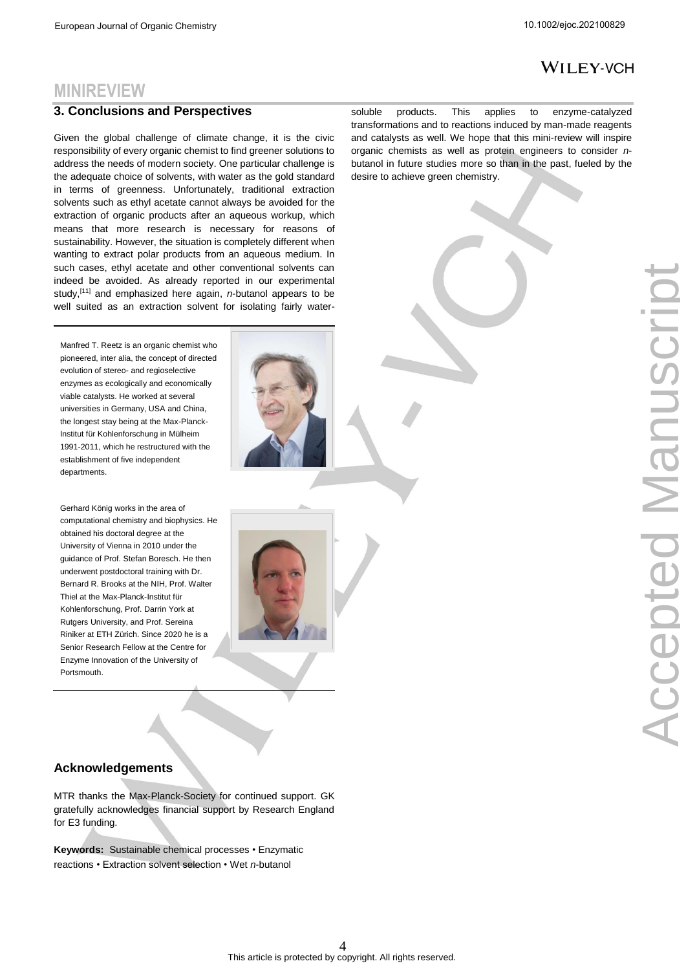## **MINIREVIEW**

#### **3. Conclusions and Perspectives**

Given the global challenge of climate change, it is the civic responsibility of every organic chemist to find greener solutions to address the needs of modern society. One particular challenge is the adequate choice of solvents, with water as the gold standard in terms of greenness. Unfortunately, traditional extraction solvents such as ethyl acetate cannot always be avoided for the extraction of organic products after an aqueous workup, which means that more research is necessary for reasons of sustainability. However, the situation is completely different when wanting to extract polar products from an aqueous medium. In such cases, ethyl acetate and other conventional solvents can indeed be avoided. As already reported in our experimental study,[\[11\]](#page-6-4) and emphasized here again, *n*-butanol appears to be well suited as an extraction solvent for isolating fairly water-

Manfred T. Reetz is an organic chemist who pioneered, inter alia, the concept of directed evolution of stereo- and regioselective enzymes as ecologically and economically viable catalysts. He worked at several universities in Germany, USA and China, the longest stay being at the Max-Planck-Institut für Kohlenforschung in Mülheim 1991-2011, which he restructured with the establishment of five independent departments.

Gerhard König works in the area of computational chemistry and biophysics. He obtained his doctoral degree at the University of Vienna in 2010 under the guidance of Prof. Stefan Boresch. He then underwent postdoctoral training with Dr. Bernard R. Brooks at the NIH, Prof. Walter Thiel at the Max-Planck-Institut für Kohlenforschung, Prof. Darrin York at Rutgers University, and Prof. Sereina Riniker at ETH Zürich. Since 2020 he is a Senior Research Fellow at the Centre for Enzyme Innovation of the University of **Portsmouth.** 





### **Acknowledgements**

MTR thanks the Max-Planck-Society for continued support. GK gratefully acknowledges financial support by Research England for E3 funding.

**Keywords:** Sustainable chemical processes • Enzymatic reactions • Extraction solvent selection • Wet *n*-butanol

soluble products. This applies to enzyme-catalyzed transformations and to reactions induced by man-made reagents and catalysts as well. We hope that this mini-review will inspire organic chemists as well as protein engineers to consider *n*butanol in future studies more so than in the past, fueled by the desire to achieve green chemistry.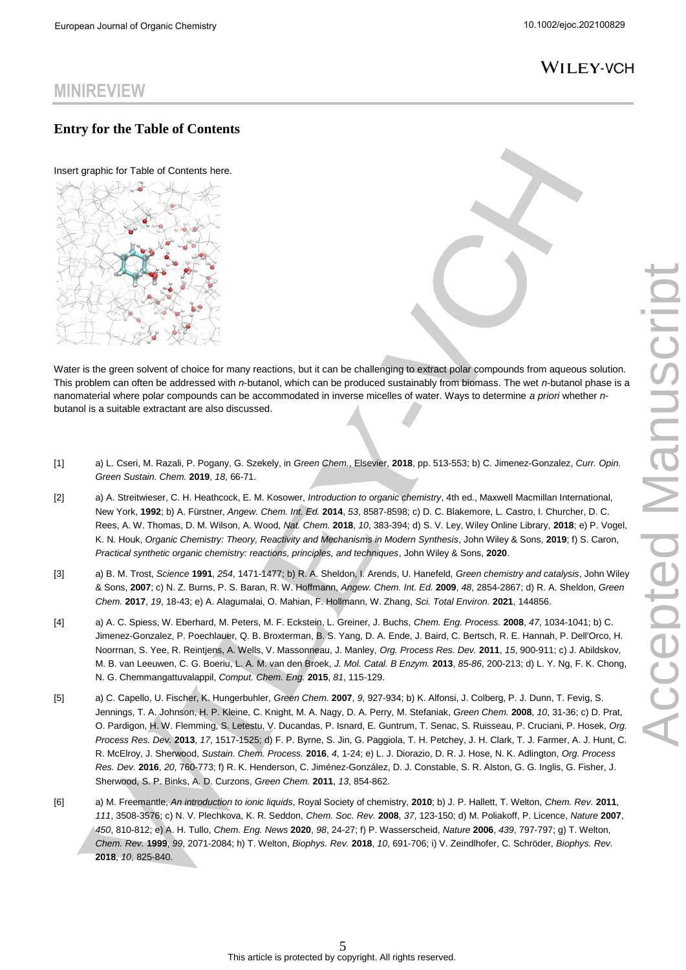# **MINIREVIEW**

### **Entry for the Table of Contents**

Insert graphic for Table of Contents here.



Water is the green solvent of choice for many reactions, but it can be challenging to extract polar compounds from aqueous solution. This problem can often be addressed with *n*-butanol, which can be produced sustainably from biomass. The wet *n*-butanol phase is a nanomaterial where polar compounds can be accommodated in inverse micelles of water. Ways to determine *a priori* whether *n*butanol is a suitable extractant are also discussed.

- <span id="page-5-0"></span>[1] a) L. Cseri, M. Razali, P. Pogany, G. Szekely, in *Green Chem.*, Elsevier, **2018**, pp. 513-553; b) C. Jimenez-Gonzalez, *Curr. Opin. Green Sustain. Chem.* **2019**, *18*, 66-71.
- <span id="page-5-1"></span>[2] a) A. Streitwieser, C. H. Heathcock, E. M. Kosower, *Introduction to organic chemistry*, 4th ed., Maxwell Macmillan International, New York, **1992**; b) A. Fürstner, *Angew. Chem. Int. Ed.* **2014**, *53*, 8587-8598; c) D. C. Blakemore, L. Castro, I. Churcher, D. C. Rees, A. W. Thomas, D. M. Wilson, A. Wood, *Nat. Chem.* **2018**, *10*, 383-394; d) S. V. Ley, Wiley Online Library, **2018**; e) P. Vogel, K. N. Houk, *Organic Chemistry: Theory, Reactivity and Mechanisms in Modern Synthesis*, John Wiley & Sons, **2019**; f) S. Caron, *Practical synthetic organic chemistry: reactions, principles, and techniques*, John Wiley & Sons, **2020**.
- <span id="page-5-2"></span>[3] a) B. M. Trost, *Science* **1991**, *254*, 1471-1477; b) R. A. Sheldon, I. Arends, U. Hanefeld, *Green chemistry and catalysis*, John Wiley & Sons, **2007**; c) N. Z. Burns, P. S. Baran, R. W. Hoffmann, *Angew. Chem. Int. Ed.* **2009**, *48*, 2854-2867; d) R. A. Sheldon, *Green Chem.* **2017**, *19*, 18-43; e) A. Alagumalai, O. Mahian, F. Hollmann, W. Zhang, *Sci. Total Environ.* **2021**, 144856.
- <span id="page-5-3"></span>[4] a) A. C. Spiess, W. Eberhard, M. Peters, M. F. Eckstein, L. Greiner, J. Buchs, *Chem. Eng. Process.* **2008**, *47*, 1034-1041; b) C. Jimenez-Gonzalez, P. Poechlauer, Q. B. Broxterman, B. S. Yang, D. A. Ende, J. Baird, C. Bertsch, R. E. Hannah, P. Dell'Orco, H. Noorrnan, S. Yee, R. Reintjens, A. Wells, V. Massonneau, J. Manley, *Org. Process Res. Dev.* **2011**, *15*, 900-911; c) J. Abildskov, M. B. van Leeuwen, C. G. Boeriu, L. A. M. van den Broek, *J. Mol. Catal. B Enzym.* **2013**, *85-86*, 200-213; d) L. Y. Ng, F. K. Chong, N. G. Chemmangattuvalappil, *Comput. Chem. Eng.* **2015**, *81*, 115-129.
- <span id="page-5-6"></span><span id="page-5-5"></span>[5] a) C. Capello, U. Fischer, K. Hungerbuhler, *Green Chem.* **2007**, *9*, 927-934; b) K. Alfonsi, J. Colberg, P. J. Dunn, T. Fevig, S. Jennings, T. A. Johnson, H. P. Kleine, C. Knight, M. A. Nagy, D. A. Perry, M. Stefaniak, *Green Chem.* **2008**, *10*, 31-36; c) D. Prat, O. Pardigon, H. W. Flemming, S. Letestu, V. Ducandas, P. Isnard, E. Guntrum, T. Senac, S. Ruisseau, P. Cruciani, P. Hosek, *Org. Process Res. Dev.* **2013**, *17*, 1517-1525; d) F. P. Byrne, S. Jin, G. Paggiola, T. H. Petchey, J. H. Clark, T. J. Farmer, A. J. Hunt, C. R. McElroy, J. Sherwood, *Sustain. Chem. Process.* **2016**, *4*, 1-24; e) L. J. Diorazio, D. R. J. Hose, N. K. Adlington, *Org. Process Res. Dev.* **2016**, *20*, 760-773; f) R. K. Henderson, C. Jiménez-González, D. J. Constable, S. R. Alston, G. G. Inglis, G. Fisher, J. Sherwood, S. P. Binks, A. D. Curzons, *Green Chem.* **2011**, *13*, 854-862.
- <span id="page-5-7"></span><span id="page-5-4"></span>[6] a) M. Freemantle, *An introduction to ionic liquids*, Royal Society of chemistry, **2010**; b) J. P. Hallett, T. Welton, *Chem. Rev.* **2011**, *111*, 3508-3576; c) N. V. Plechkova, K. R. Seddon, *Chem. Soc. Rev.* **2008**, *37*, 123-150; d) M. Poliakoff, P. Licence, *Nature* **2007**, *450*, 810-812; e) A. H. Tullo, *Chem. Eng. News* **2020**, *98*, 24-27; f) P. Wasserscheid, *Nature* **2006**, *439*, 797-797; g) T. Welton, *Chem. Rev.* **1999**, *99*, 2071-2084; h) T. Welton, *Biophys. Rev.* **2018**, *10*, 691-706; i) V. Zeindlhofer, C. Schröder, *Biophys. Rev.*  **2018**, *10*, 825-840.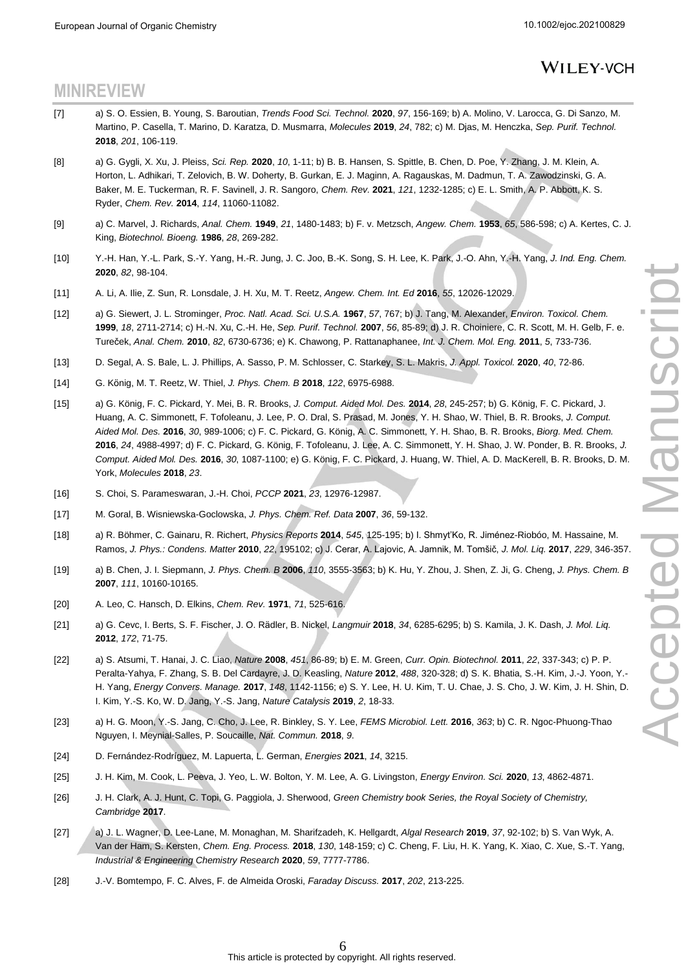# **MINIREVIEW**

- <span id="page-6-0"></span>[7] a) S. O. Essien, B. Young, S. Baroutian, *Trends Food Sci. Technol.* **2020**, *97*, 156-169; b) A. Molino, V. Larocca, G. Di Sanzo, M. Martino, P. Casella, T. Marino, D. Karatza, D. Musmarra, *Molecules* **2019**, *24*, 782; c) M. Djas, M. Henczka, *Sep. Purif. Technol.*  **2018**, *201*, 106-119.
- <span id="page-6-1"></span>[8] a) G. Gygli, X. Xu, J. Pleiss, *Sci. Rep.* **2020**, *10*, 1-11; b) B. B. Hansen, S. Spittle, B. Chen, D. Poe, Y. Zhang, J. M. Klein, A. Horton, L. Adhikari, T. Zelovich, B. W. Doherty, B. Gurkan, E. J. Maginn, A. Ragauskas, M. Dadmun, T. A. Zawodzinski, G. A. Baker, M. E. Tuckerman, R. F. Savinell, J. R. Sangoro, *Chem. Rev.* **2021**, *121*, 1232-1285; c) E. L. Smith, A. P. Abbott, K. S. Ryder, *Chem. Rev.* **2014**, *114*, 11060-11082.
- <span id="page-6-2"></span>[9] a) C. Marvel, J. Richards, *Anal. Chem.* **1949**, *21*, 1480-1483; b) F. v. Metzsch, *Angew. Chem.* **1953**, *65*, 586-598; c) A. Kertes, C. J. King, *Biotechnol. Bioeng.* **1986**, *28*, 269-282.
- <span id="page-6-3"></span>[10] Y.-H. Han, Y.-L. Park, S.-Y. Yang, H.-R. Jung, J. C. Joo, B.-K. Song, S. H. Lee, K. Park, J.-O. Ahn, Y.-H. Yang, *J. Ind. Eng. Chem.*  **2020**, *82*, 98-104.
- <span id="page-6-4"></span>[11] A. Li, A. Ilie, Z. Sun, R. Lonsdale, J. H. Xu, M. T. Reetz, *Angew. Chem. Int. Ed* **2016**, *55*, 12026-12029.
- <span id="page-6-5"></span>[12] a) G. Siewert, J. L. Strominger, *Proc. Natl. Acad. Sci. U.S.A.* **1967**, *57*, 767; b) J. Tang, M. Alexander, *Environ. Toxicol. Chem.*  **1999**, *18*, 2711-2714; c) H.-N. Xu, C.-H. He, *Sep. Purif. Technol.* **2007**, *56*, 85-89; d) J. R. Choiniere, C. R. Scott, M. H. Gelb, F. e. Tureček, *Anal. Chem.* **2010**, *82*, 6730-6736; e) K. Chawong, P. Rattanaphanee, *Int. J. Chem. Mol. Eng.* **2011**, *5*, 733-736.
- <span id="page-6-15"></span><span id="page-6-6"></span>[13] D. Segal, A. S. Bale, L. J. Phillips, A. Sasso, P. M. Schlosser, C. Starkey, S. L. Makris, *J. Appl. Toxicol.* **2020**, *40*, 72-86.
- <span id="page-6-7"></span>[14] G. König, M. T. Reetz, W. Thiel, *J. Phys. Chem. B* **2018**, *122*, 6975-6988.
- <span id="page-6-8"></span>[15] a) G. König, F. C. Pickard, Y. Mei, B. R. Brooks, *J. Comput. Aided Mol. Des.* **2014**, *28*, 245-257; b) G. König, F. C. Pickard, J. Huang, A. C. Simmonett, F. Tofoleanu, J. Lee, P. O. Dral, S. Prasad, M. Jones, Y. H. Shao, W. Thiel, B. R. Brooks, *J. Comput. Aided Mol. Des.* **2016**, *30*, 989-1006; c) F. C. Pickard, G. König, A. C. Simmonett, Y. H. Shao, B. R. Brooks, *Biorg. Med. Chem.*  **2016**, *24*, 4988-4997; d) F. C. Pickard, G. König, F. Tofoleanu, J. Lee, A. C. Simmonett, Y. H. Shao, J. W. Ponder, B. R. Brooks, *J. Comput. Aided Mol. Des.* **2016**, *30*, 1087-1100; e) G. König, F. C. Pickard, J. Huang, W. Thiel, A. D. MacKerell, B. R. Brooks, D. M. York, *Molecules* **2018**, *23*.
- <span id="page-6-9"></span>[16] S. Choi, S. Parameswaran, J.-H. Choi, *PCCP* **2021**, *23*, 12976-12987.
- <span id="page-6-10"></span>[17] M. Goral, B. Wisniewska-Goclowska, *J. Phys. Chem. Ref. Data* **2007**, *36*, 59-132.
- <span id="page-6-23"></span><span id="page-6-11"></span>[18] a) R. Böhmer, C. Gainaru, R. Richert, *Physics Reports* **2014**, *545*, 125-195; b) I. Shmyt'Ko, R. Jiménez-Riobóo, M. Hassaine, M. Ramos, *J. Phys.: Condens. Matter* **2010**, *22*, 195102; c) J. Cerar, A. Lajovic, A. Jamnik, M. Tomšič, *J. Mol. Liq.* **2017**, *229*, 346-357.
- <span id="page-6-12"></span>[19] a) B. Chen, J. I. Siepmann, *J. Phys. Chem. B* **2006**, *110*, 3555-3563; b) K. Hu, Y. Zhou, J. Shen, Z. Ji, G. Cheng, *J. Phys. Chem. B*  **2007**, *111*, 10160-10165.
- <span id="page-6-13"></span>[20] A. Leo, C. Hansch, D. Elkins, *Chem. Rev.* **1971**, *71*, 525-616.
- <span id="page-6-14"></span>[21] a) G. Cevc, I. Berts, S. F. Fischer, J. O. Rädler, B. Nickel, *Langmuir* **2018**, *34*, 6285-6295; b) S. Kamila, J. K. Dash, *J. Mol. Liq.*  **2012**, *172*, 71-75.
- <span id="page-6-16"></span>[22] a) S. Atsumi, T. Hanai, J. C. Liao, *Nature* **2008**, *451*, 86-89; b) E. M. Green, *Curr. Opin. Biotechnol.* **2011**, *22*, 337-343; c) P. P. Peralta-Yahya, F. Zhang, S. B. Del Cardayre, J. D. Keasling, *Nature* **2012**, *488*, 320-328; d) S. K. Bhatia, S.-H. Kim, J.-J. Yoon, Y.- H. Yang, *Energy Convers. Manage.* **2017**, *148*, 1142-1156; e) S. Y. Lee, H. U. Kim, T. U. Chae, J. S. Cho, J. W. Kim, J. H. Shin, D. I. Kim, Y.-S. Ko, W. D. Jang, Y.-S. Jang, *Nature Catalysis* **2019**, *2*, 18-33.
- <span id="page-6-17"></span>[23] a) H. G. Moon, Y.-S. Jang, C. Cho, J. Lee, R. Binkley, S. Y. Lee, *FEMS Microbiol. Lett.* **2016**, *363*; b) C. R. Ngoc-Phuong-Thao Nguyen, I. Meynial-Salles, P. Soucaille, *Nat. Commun.* **2018**, *9*.
- <span id="page-6-18"></span>[24] D. Fernández-Rodríguez, M. Lapuerta, L. German, *Energies* **2021**, *14*, 3215.
- <span id="page-6-19"></span>[25] J. H. Kim, M. Cook, L. Peeva, J. Yeo, L. W. Bolton, Y. M. Lee, A. G. Livingston, *Energy Environ. Sci.* **2020**, *13*, 4862-4871.
- <span id="page-6-20"></span>[26] J. H. Clark, A. J. Hunt, C. Topi, G. Paggiola, J. Sherwood, *Green Chemistry book Series, the Royal Society of Chemistry, Cambridge* **2017**.
- <span id="page-6-21"></span>[27] a) J. L. Wagner, D. Lee-Lane, M. Monaghan, M. Sharifzadeh, K. Hellgardt, *Algal Research* **2019**, *37*, 92-102; b) S. Van Wyk, A. Van der Ham, S. Kersten, *Chem. Eng. Process.* **2018**, *130*, 148-159; c) C. Cheng, F. Liu, H. K. Yang, K. Xiao, C. Xue, S.-T. Yang, *Industrial & Engineering Chemistry Research* **2020**, *59*, 7777-7786.
- <span id="page-6-22"></span>[28] J.-V. Bomtempo, F. C. Alves, F. de Almeida Oroski, *Faraday Discuss.* **2017**, *202*, 213-225.